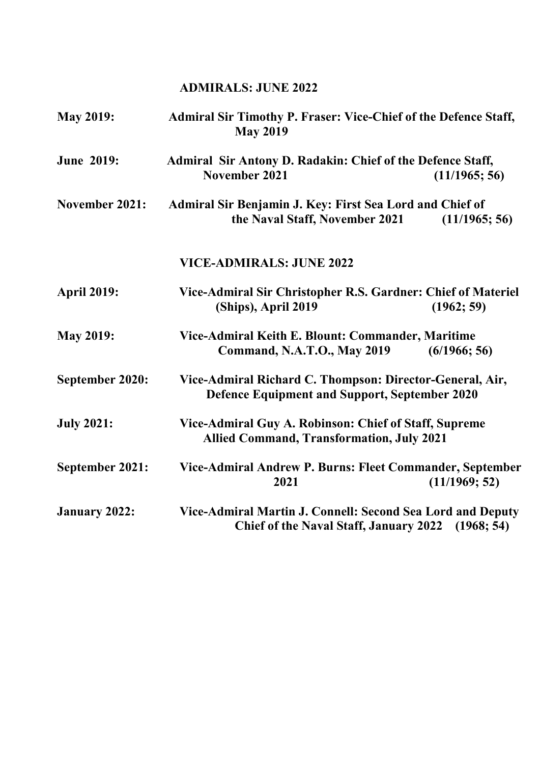# **ADMIRALS: JUNE 2022**

| <b>May 2019:</b>     | <b>Admiral Sir Timothy P. Fraser: Vice-Chief of the Defence Staff,</b><br><b>May 2019</b>                                 |  |
|----------------------|---------------------------------------------------------------------------------------------------------------------------|--|
| <b>June 2019:</b>    | Admiral Sir Antony D. Radakin: Chief of the Defence Staff,<br>November 2021<br>(11/1965; 56)                              |  |
| November 2021:       | Admiral Sir Benjamin J. Key: First Sea Lord and Chief of<br>the Naval Staff, November 2021<br>(11/1965; 56)               |  |
|                      | <b>VICE-ADMIRALS: JUNE 2022</b>                                                                                           |  |
| <b>April 2019:</b>   | Vice-Admiral Sir Christopher R.S. Gardner: Chief of Materiel<br>(Ships), April 2019<br>(1962; 59)                         |  |
| <b>May 2019:</b>     | Vice-Admiral Keith E. Blount: Commander, Maritime<br><b>Command, N.A.T.O., May 2019</b><br>(6/1966; 56)                   |  |
| September 2020:      | Vice-Admiral Richard C. Thompson: Director-General, Air,<br><b>Defence Equipment and Support, September 2020</b>          |  |
| <b>July 2021:</b>    | Vice-Admiral Guy A. Robinson: Chief of Staff, Supreme<br><b>Allied Command, Transformation, July 2021</b>                 |  |
| September 2021:      | Vice-Admiral Andrew P. Burns: Fleet Commander, September<br>2021<br>(11/1969; 52)                                         |  |
| <b>January 2022:</b> | Vice-Admiral Martin J. Connell: Second Sea Lord and Deputy<br><b>Chief of the Naval Staff, January 2022</b><br>(1968; 54) |  |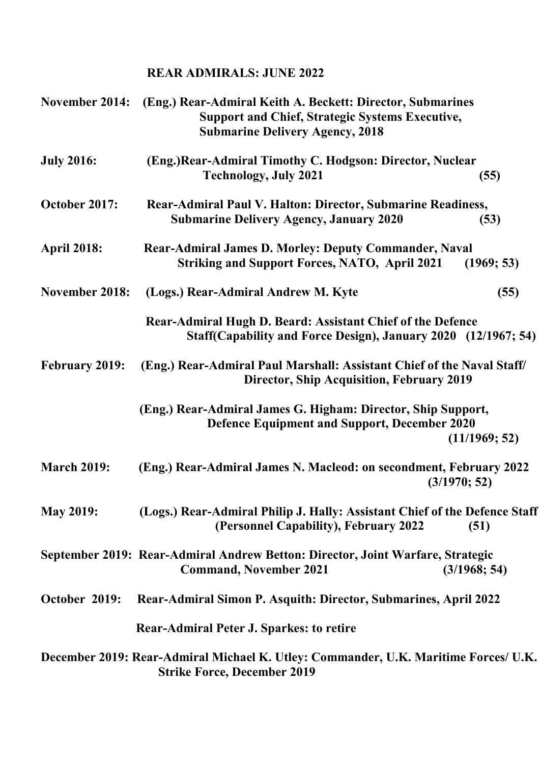# **REAR ADMIRALS: JUNE 2022**

| November 2014:        | (Eng.) Rear-Admiral Keith A. Beckett: Director, Submarines<br><b>Support and Chief, Strategic Systems Executive,</b><br><b>Submarine Delivery Agency, 2018</b> |               |
|-----------------------|----------------------------------------------------------------------------------------------------------------------------------------------------------------|---------------|
| <b>July 2016:</b>     | (Eng.) Rear-Admiral Timothy C. Hodgson: Director, Nuclear<br><b>Technology, July 2021</b>                                                                      | (55)          |
| October 2017:         | Rear-Admiral Paul V. Halton: Director, Submarine Readiness,<br><b>Submarine Delivery Agency, January 2020</b>                                                  | (53)          |
| <b>April 2018:</b>    | <b>Rear-Admiral James D. Morley: Deputy Commander, Naval</b><br><b>Striking and Support Forces, NATO, April 2021</b>                                           | (1969; 53)    |
| <b>November 2018:</b> | (Logs.) Rear-Admiral Andrew M. Kyte                                                                                                                            | (55)          |
|                       | Rear-Admiral Hugh D. Beard: Assistant Chief of the Defence<br>Staff(Capability and Force Design), January 2020 (12/1967; 54)                                   |               |
| <b>February 2019:</b> | (Eng.) Rear-Admiral Paul Marshall: Assistant Chief of the Naval Staff/<br><b>Director, Ship Acquisition, February 2019</b>                                     |               |
|                       | (Eng.) Rear-Admiral James G. Higham: Director, Ship Support,<br><b>Defence Equipment and Support, December 2020</b>                                            | (11/1969; 52) |
| <b>March 2019:</b>    | (Eng.) Rear-Admiral James N. Macleod: on secondment, February 2022                                                                                             | (3/1970; 52)  |
| <b>May 2019:</b>      | (Logs.) Rear-Admiral Philip J. Hally: Assistant Chief of the Defence Staff<br>(Personnel Capability), February 2022                                            | (51)          |
|                       | September 2019: Rear-Admiral Andrew Betton: Director, Joint Warfare, Strategic<br><b>Command, November 2021</b>                                                | (3/1968; 54)  |
| October 2019:         | Rear-Admiral Simon P. Asquith: Director, Submarines, April 2022                                                                                                |               |
|                       | <b>Rear-Admiral Peter J. Sparkes: to retire</b>                                                                                                                |               |
|                       | December 2019: Rear-Admiral Michael K. Utley: Commander, U.K. Maritime Forces/ U.K.<br><b>Strike Force, December 2019</b>                                      |               |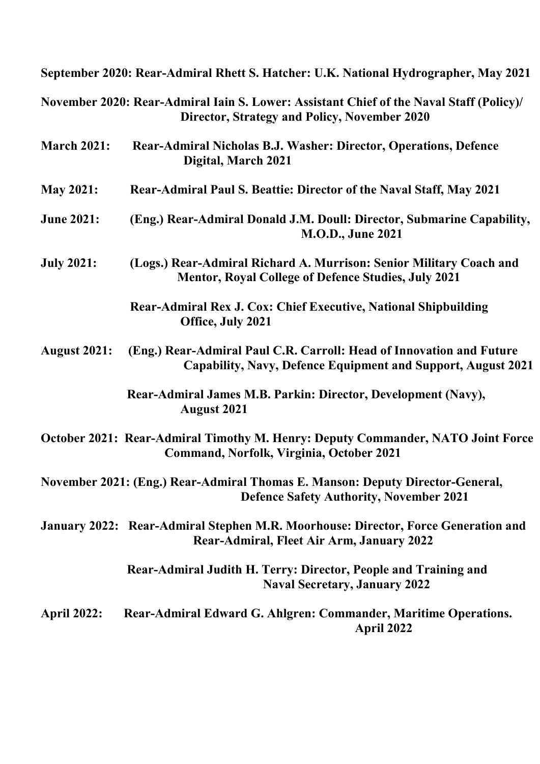|                     | September 2020: Rear-Admiral Rhett S. Hatcher: U.K. National Hydrographer, May 2021                                                     |
|---------------------|-----------------------------------------------------------------------------------------------------------------------------------------|
|                     | November 2020: Rear-Admiral Iain S. Lower: Assistant Chief of the Naval Staff (Policy)/<br>Director, Strategy and Policy, November 2020 |
| <b>March 2021:</b>  | Rear-Admiral Nicholas B.J. Washer: Director, Operations, Defence<br>Digital, March 2021                                                 |
| <b>May 2021:</b>    | Rear-Admiral Paul S. Beattie: Director of the Naval Staff, May 2021                                                                     |
| <b>June 2021:</b>   | (Eng.) Rear-Admiral Donald J.M. Doull: Director, Submarine Capability,<br><b>M.O.D., June 2021</b>                                      |
| <b>July 2021:</b>   | (Logs.) Rear-Admiral Richard A. Murrison: Senior Military Coach and<br><b>Mentor, Royal College of Defence Studies, July 2021</b>       |
|                     | Rear-Admiral Rex J. Cox: Chief Executive, National Shipbuilding<br>Office, July 2021                                                    |
| <b>August 2021:</b> | (Eng.) Rear-Admiral Paul C.R. Carroll: Head of Innovation and Future<br>Capability, Navy, Defence Equipment and Support, August 2021    |
|                     | Rear-Admiral James M.B. Parkin: Director, Development (Navy),<br><b>August 2021</b>                                                     |
|                     | October 2021: Rear-Admiral Timothy M. Henry: Deputy Commander, NATO Joint Force<br>Command, Norfolk, Virginia, October 2021             |
|                     | November 2021: (Eng.) Rear-Admiral Thomas E. Manson: Deputy Director-General,<br><b>Defence Safety Authority, November 2021</b>         |
|                     | January 2022: Rear-Admiral Stephen M.R. Moorhouse: Director, Force Generation and<br>Rear-Admiral, Fleet Air Arm, January 2022          |
|                     | Rear-Admiral Judith H. Terry: Director, People and Training and<br><b>Naval Secretary, January 2022</b>                                 |
| <b>April 2022:</b>  | Rear-Admiral Edward G. Ahlgren: Commander, Maritime Operations.<br>April 2022                                                           |
|                     |                                                                                                                                         |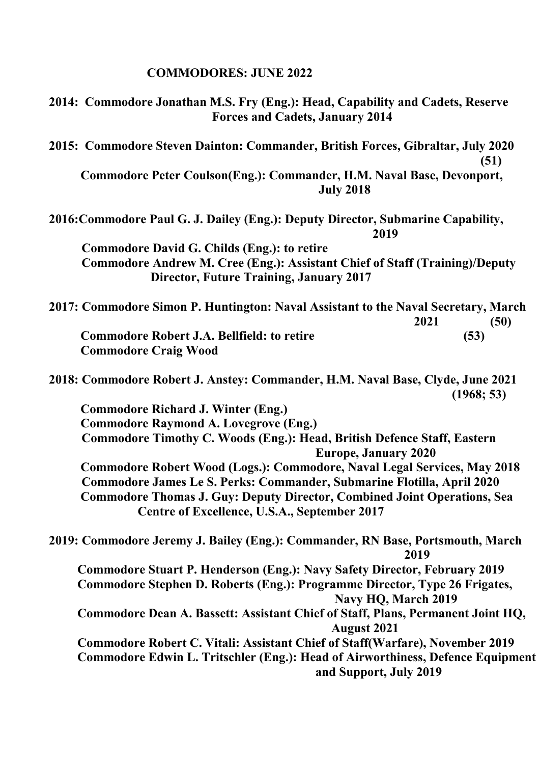# **COMMODORES: JUNE 2022**

| 2014: Commodore Jonathan M.S. Fry (Eng.): Head, Capability and Cadets, Reserve<br><b>Forces and Cadets, January 2014</b> |
|--------------------------------------------------------------------------------------------------------------------------|
| 2015: Commodore Steven Dainton: Commander, British Forces, Gibraltar, July 2020<br>(51)                                  |
| Commodore Peter Coulson(Eng.): Commander, H.M. Naval Base, Devonport,<br><b>July 2018</b>                                |
| 2016: Commodore Paul G. J. Dailey (Eng.): Deputy Director, Submarine Capability,<br>2019                                 |
| <b>Commodore David G. Childs (Eng.): to retire</b>                                                                       |
| <b>Commodore Andrew M. Cree (Eng.): Assistant Chief of Staff (Training)/Deputy</b>                                       |
| <b>Director, Future Training, January 2017</b>                                                                           |
| 2017: Commodore Simon P. Huntington: Naval Assistant to the Naval Secretary, March<br>2021<br>(50)                       |
| <b>Commodore Robert J.A. Bellfield: to retire</b><br>(53)                                                                |
| <b>Commodore Craig Wood</b>                                                                                              |
| 2018: Commodore Robert J. Anstey: Commander, H.M. Naval Base, Clyde, June 2021<br>(1968; 53)                             |
| <b>Commodore Richard J. Winter (Eng.)</b>                                                                                |
| <b>Commodore Raymond A. Lovegrove (Eng.)</b>                                                                             |
| <b>Commodore Timothy C. Woods (Eng.): Head, British Defence Staff, Eastern</b><br><b>Europe, January 2020</b>            |
| <b>Commodore Robert Wood (Logs.): Commodore, Naval Legal Services, May 2018</b>                                          |
| Commodore James Le S. Perks: Commander, Submarine Flotilla, April 2020                                                   |
| <b>Commodore Thomas J. Guy: Deputy Director, Combined Joint Operations, Sea</b>                                          |
| Centre of Excellence, U.S.A., September 2017                                                                             |
| 2019: Commodore Jeremy J. Bailey (Eng.): Commander, RN Base, Portsmouth, March<br>2019                                   |
| Commodore Stuart P. Henderson (Eng.): Navy Safety Director, February 2019                                                |
| Commodore Stephen D. Roberts (Eng.): Programme Director, Type 26 Frigates,<br>Navy HQ, March 2019                        |
| Commodore Dean A. Bassett: Assistant Chief of Staff, Plans, Permanent Joint HQ,<br><b>August 2021</b>                    |
| Commodore Robert C. Vitali: Assistant Chief of Staff(Warfare), November 2019                                             |
| Commodore Edwin L. Tritschler (Eng.): Head of Airworthiness, Defence Equipment<br>and Support, July 2019                 |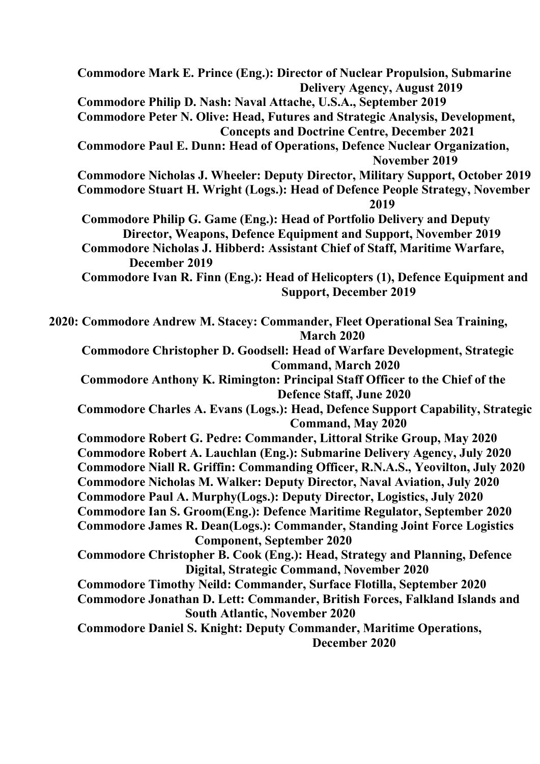**Commodore Mark E. Prince (Eng.): Director of Nuclear Propulsion, Submarine Delivery Agency, August 2019 Commodore Philip D. Nash: Naval Attache, U.S.A., September 2019 Commodore Peter N. Olive: Head, Futures and Strategic Analysis, Development, Concepts and Doctrine Centre, December 2021 Commodore Paul E. Dunn: Head of Operations, Defence Nuclear Organization, November 2019 Commodore Nicholas J. Wheeler: Deputy Director, Military Support, October 2019 Commodore Stuart H. Wright (Logs.): Head of Defence People Strategy, November 2019 Commodore Philip G. Game (Eng.): Head of Portfolio Delivery and Deputy Director, Weapons, Defence Equipment and Support, November 2019 Commodore Nicholas J. Hibberd: Assistant Chief of Staff, Maritime Warfare, December 2019 Commodore Ivan R. Finn (Eng.): Head of Helicopters (1), Defence Equipment and Support, December 2019 2020: Commodore Andrew M. Stacey: Commander, Fleet Operational Sea Training, March 2020 Commodore Christopher D. Goodsell: Head of Warfare Development, Strategic Command, March 2020 Commodore Anthony K. Rimington: Principal Staff Officer to the Chief of the Defence Staff, June 2020 Commodore Charles A. Evans (Logs.): Head, Defence Support Capability, Strategic Command, May 2020 Commodore Robert G. Pedre: Commander, Littoral Strike Group, May 2020 Commodore Robert A. Lauchlan (Eng.): Submarine Delivery Agency, July 2020 Commodore Niall R. Griffin: Commanding Officer, R.N.A.S., Yeovilton, July 2020 Commodore Nicholas M. Walker: Deputy Director, Naval Aviation, July 2020 Commodore Paul A. Murphy(Logs.): Deputy Director, Logistics, July 2020 Commodore Ian S. Groom(Eng.): Defence Maritime Regulator, September 2020 Commodore James R. Dean(Logs.): Commander, Standing Joint Force Logistics Component, September 2020 Commodore Christopher B. Cook (Eng.): Head, Strategy and Planning, Defence Digital, Strategic Command, November 2020 Commodore Timothy Neild: Commander, Surface Flotilla, September 2020 Commodore Jonathan D. Lett: Commander, British Forces, Falkland Islands and South Atlantic, November 2020 Commodore Daniel S. Knight: Deputy Commander, Maritime Operations, December 2020**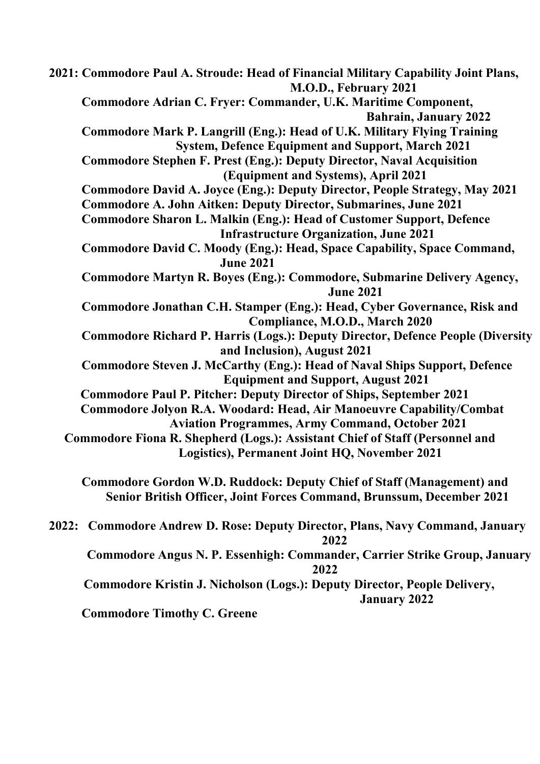**2021: Commodore Paul A. Stroude: Head of Financial Military Capability Joint Plans, M.O.D., February 2021 Commodore Adrian C. Fryer: Commander, U.K. Maritime Component, Bahrain, January 2022 Commodore Mark P. Langrill (Eng.): Head of U.K. Military Flying Training System, Defence Equipment and Support, March 2021 Commodore Stephen F. Prest (Eng.): Deputy Director, Naval Acquisition (Equipment and Systems), April 2021 Commodore David A. Joyce (Eng.): Deputy Director, People Strategy, May 2021 Commodore A. John Aitken: Deputy Director, Submarines, June 2021 Commodore Sharon L. Malkin (Eng.): Head of Customer Support, Defence Infrastructure Organization, June 2021 Commodore David C. Moody (Eng.): Head, Space Capability, Space Command, June 2021 Commodore Martyn R. Boyes (Eng.): Commodore, Submarine Delivery Agency, June 2021 Commodore Jonathan C.H. Stamper (Eng.): Head, Cyber Governance, Risk and Compliance, M.O.D., March 2020 Commodore Richard P. Harris (Logs.): Deputy Director, Defence People (Diversity and Inclusion), August 2021 Commodore Steven J. McCarthy (Eng.): Head of Naval Ships Support, Defence Equipment and Support, August 2021 Commodore Paul P. Pitcher: Deputy Director of Ships, September 2021 Commodore Jolyon R.A. Woodard: Head, Air Manoeuvre Capability/Combat Aviation Programmes, Army Command, October 2021 Commodore Fiona R. Shepherd (Logs.): Assistant Chief of Staff (Personnel and Logistics), Permanent Joint HQ, November 2021 Commodore Gordon W.D. Ruddock: Deputy Chief of Staff (Management) and Senior British Officer, Joint Forces Command, Brunssum, December 2021 2022: Commodore Andrew D. Rose: Deputy Director, Plans, Navy Command, January 2022** 

 **Commodore Angus N. P. Essenhigh: Commander, Carrier Strike Group, January 2022** 

 **Commodore Kristin J. Nicholson (Logs.): Deputy Director, People Delivery, January 2022** 

 **Commodore Timothy C. Greene**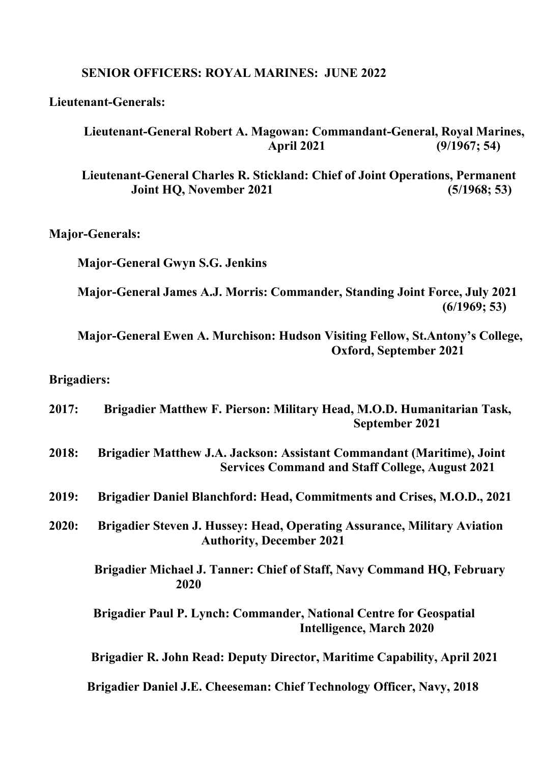#### **SENIOR OFFICERS: ROYAL MARINES: JUNE 2022**

**Lieutenant-Generals:** 

### **Lieutenant-General Robert A. Magowan: Commandant-General, Royal Marines, April 2021 (9/1967; 54)**

 **Lieutenant-General Charles R. Stickland: Chief of Joint Operations, Permanent Joint HQ, November 2021** (5/1968; 53)

**Major-Generals:** 

 **Major-General Gwyn S.G. Jenkins** 

 **Major-General James A.J. Morris: Commander, Standing Joint Force, July 2021 (6/1969; 53)** 

 **Major-General Ewen A. Murchison: Hudson Visiting Fellow, St.Antony's College, Oxford, September 2021** 

### **Brigadiers:**

| 2017: | Brigadier Matthew F. Pierson: Military Head, M.O.D. Humanitarian Task,<br>September 2021                                         |
|-------|----------------------------------------------------------------------------------------------------------------------------------|
| 2018: | Brigadier Matthew J.A. Jackson: Assistant Commandant (Maritime), Joint<br><b>Services Command and Staff College, August 2021</b> |
| 2019: | Brigadier Daniel Blanchford: Head, Commitments and Crises, M.O.D., 2021                                                          |
| 2020: | Brigadier Steven J. Hussey: Head, Operating Assurance, Military Aviation<br><b>Authority, December 2021</b>                      |
|       | Brigadier Michael J. Tanner: Chief of Staff, Navy Command HQ, February<br>2020                                                   |
|       | Brigadier Paul P. Lynch: Commander, National Centre for Geospatial<br><b>Intelligence, March 2020</b>                            |
|       | Brigadier R. John Read: Deputy Director, Maritime Capability, April 2021                                                         |
|       | Brigadier Daniel J.E. Cheeseman: Chief Technology Officer, Navy, 2018                                                            |